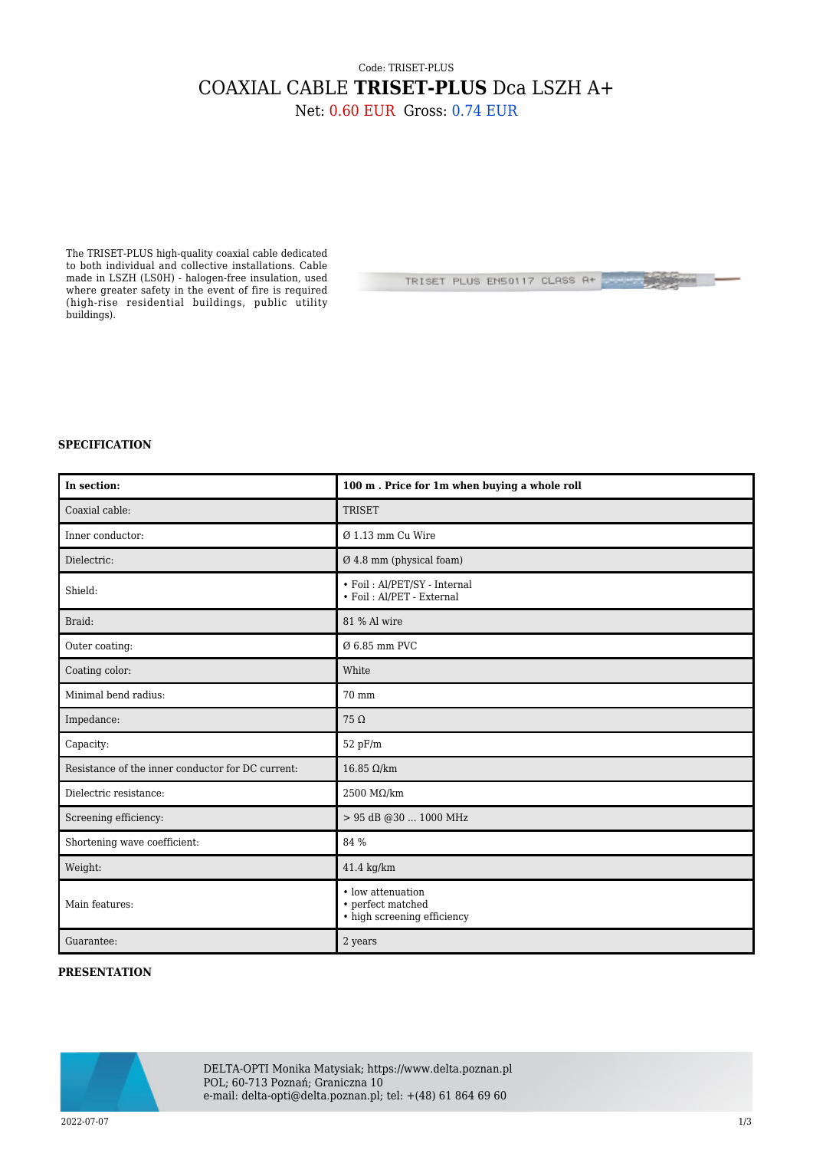## Code: TRISET-PLUS COAXIAL CABLE **TRISET-PLUS** Dca LSZH A+

Net: 0.60 EUR Gross: 0.74 EUR

The TRISET-PLUS high-quality coaxial cable dedicated to both individual and collective installations. Cable made in LSZH (LS0H) - halogen-free insulation, used where greater safety in the event of fire is required (high-rise residential buildings, public utility buildings).

TRISET PLUS EN50117 CLASS A+

**THE WAY** 

## **SPECIFICATION**

| In section:                                       | 100 m. Price for 1m when buying a whole roll                          |
|---------------------------------------------------|-----------------------------------------------------------------------|
| Coaxial cable:                                    | <b>TRISET</b>                                                         |
| Inner conductor:                                  | $Ø$ 1.13 mm Cu Wire                                                   |
| Dielectric:                                       | $\varnothing$ 4.8 mm (physical foam)                                  |
| Shield:                                           | • Foil: Al/PET/SY - Internal<br>• Foil: Al/PET - External             |
| Braid:                                            | 81 % Al wire                                                          |
| Outer coating:                                    | Ø 6.85 mm PVC                                                         |
| Coating color:                                    | White                                                                 |
| Minimal bend radius:                              | 70 mm                                                                 |
| Impedance:                                        | $75\,\Omega$                                                          |
| Capacity:                                         | 52 pF/m                                                               |
| Resistance of the inner conductor for DC current: | $16.85$ Ω/km                                                          |
| Dielectric resistance:                            | 2500 $M\Omega/km$                                                     |
| Screening efficiency:                             | > 95 dB @30  1000 MHz                                                 |
| Shortening wave coefficient:                      | 84 %                                                                  |
| Weight:                                           | $41.4 \text{ kg/km}$                                                  |
| Main features:                                    | • low attenuation<br>• perfect matched<br>• high screening efficiency |
| Guarantee:                                        | 2 years                                                               |

## **PRESENTATION**



DELTA-OPTI Monika Matysiak; https://www.delta.poznan.pl POL; 60-713 Poznań; Graniczna 10 e-mail: delta-opti@delta.poznan.pl; tel: +(48) 61 864 69 60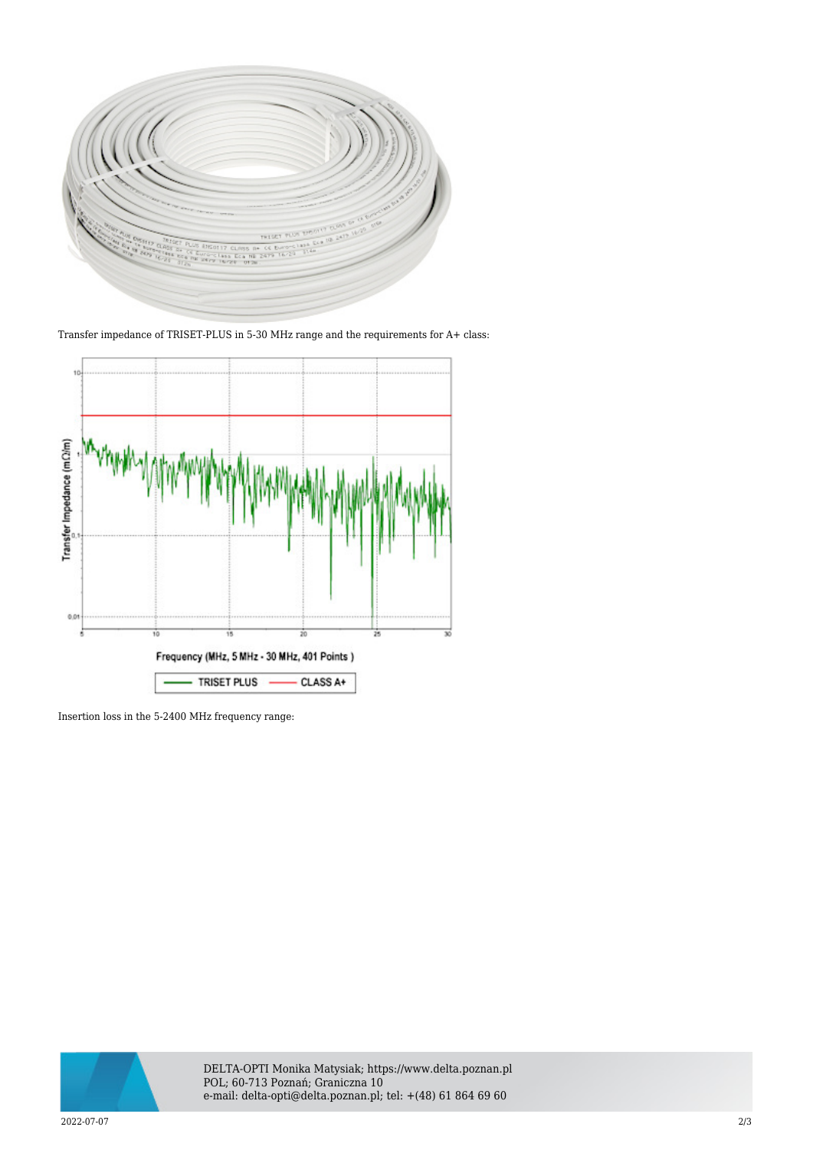

Transfer impedance of TRISET-PLUS in 5-30 MHz range and the requirements for A+ class:



Insertion loss in the 5-2400 MHz frequency range:



DELTA-OPTI Monika Matysiak; https://www.delta.poznan.pl POL; 60-713 Poznań; Graniczna 10 e-mail: delta-opti@delta.poznan.pl; tel: +(48) 61 864 69 60

2022-07-07 2/3